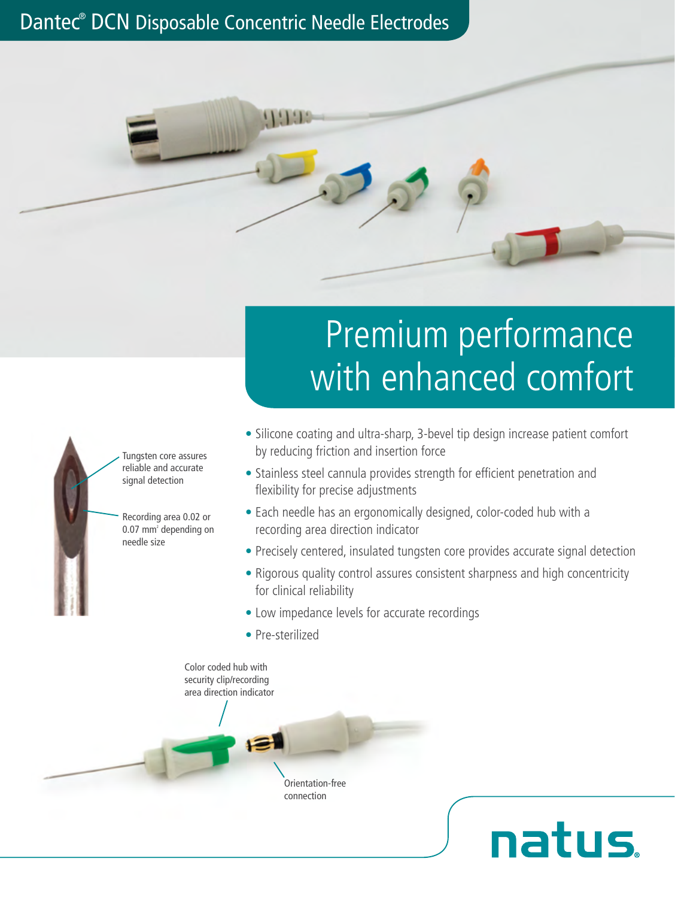## Dantec® DCN Disposable Concentric Needle Electrodes

 $1!1!1!$ 

# Premium performance with enhanced comfort

- Silicone coating and ultra-sharp, 3-bevel tip design increase patient comfort by reducing friction and insertion force
- Stainless steel cannula provides strength for efficient penetration and flexibility for precise adjustments
- Each needle has an ergonomically designed, color-coded hub with a recording area direction indicator
- Precisely centered, insulated tungsten core provides accurate signal detection
- Rigorous quality control assures consistent sharpness and high concentricity for clinical reliability

**natus** 

- Low impedance levels for accurate recordings
- Pre-sterilized

Tungsten core assures reliable and accurate signal detection

Recording area 0.02 or 0.07 mm<sup>2</sup> depending on

needle size

Color coded hub with security clip/recording area direction indicator戶

Orientation-free connection